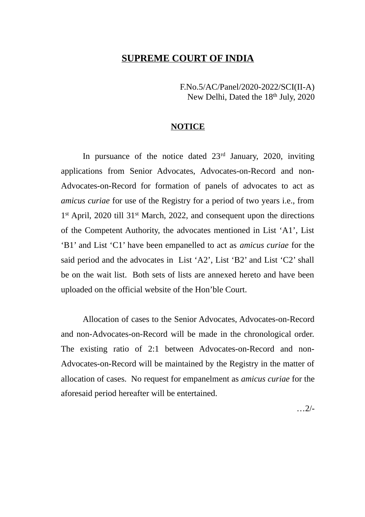#### **SUPREME COURT OF INDIA**

F.No.5/AC/Panel/2020-2022/SCI(II-A) New Delhi, Dated the 18<sup>th</sup> July, 2020

#### **NOTICE**

In pursuance of the notice dated 23<sup>rd</sup> January, 2020, inviting applications from Senior Advocates, Advocates-on-Record and non-Advocates-on-Record for formation of panels of advocates to act as *amicus curiae* for use of the Registry for a period of two years i.e., from 1<sup>st</sup> April, 2020 till 31<sup>st</sup> March, 2022, and consequent upon the directions of the Competent Authority, the advocates mentioned in List 'A1', List 'B1' and List 'C1' have been empanelled to act as *amicus curiae* for the said period and the advocates in List 'A2', List 'B2' and List 'C2' shall be on the wait list. Both sets of lists are annexed hereto and have been uploaded on the official website of the Hon'ble Court.

Allocation of cases to the Senior Advocates, Advocates-on-Record and non-Advocates-on-Record will be made in the chronological order. The existing ratio of 2:1 between Advocates-on-Record and non-Advocates-on-Record will be maintained by the Registry in the matter of allocation of cases. No request for empanelment as *amicus curiae* for the aforesaid period hereafter will be entertained.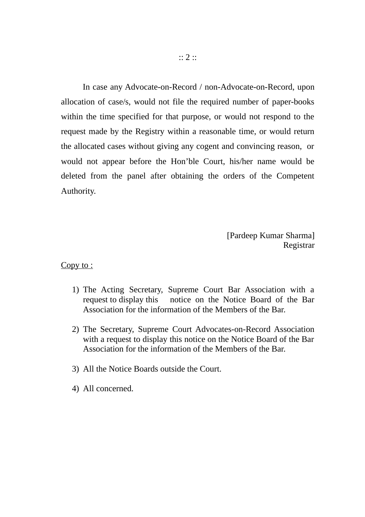In case any Advocate-on-Record / non-Advocate-on-Record, upon allocation of case/s, would not file the required number of paper-books within the time specified for that purpose, or would not respond to the request made by the Registry within a reasonable time, or would return the allocated cases without giving any cogent and convincing reason, or would not appear before the Hon'ble Court, his/her name would be deleted from the panel after obtaining the orders of the Competent Authority.

> [Pardeep Kumar Sharma] Registrar

Copy to :

- 1) The Acting Secretary, Supreme Court Bar Association with a request to display this notice on the Notice Board of the Bar Association for the information of the Members of the Bar.
- 2) The Secretary, Supreme Court Advocates-on-Record Association with a request to display this notice on the Notice Board of the Bar Association for the information of the Members of the Bar.
- 3) All the Notice Boards outside the Court.
- 4) All concerned.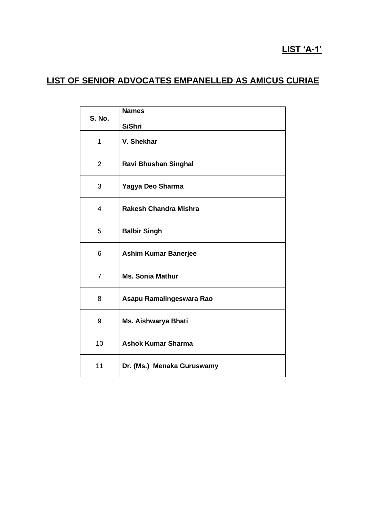# **LIST 'A-1'**

# **LIST OF SENIOR ADVOCATES EMPANELLED AS AMICUS CURIAE**

| <b>S. No.</b>  | <b>Names</b>                 |
|----------------|------------------------------|
|                | S/Shri                       |
| 1              | V. Shekhar                   |
| $\overline{2}$ | <b>Ravi Bhushan Singhal</b>  |
| 3              | Yagya Deo Sharma             |
| 4              | <b>Rakesh Chandra Mishra</b> |
| 5              | <b>Balbir Singh</b>          |
| 6              | <b>Ashim Kumar Banerjee</b>  |
| $\overline{7}$ | <b>Ms. Sonia Mathur</b>      |
| 8              | Asapu Ramalingeswara Rao     |
| 9              | Ms. Aishwarya Bhati          |
| 10             | <b>Ashok Kumar Sharma</b>    |
| 11             | Dr. (Ms.) Menaka Guruswamy   |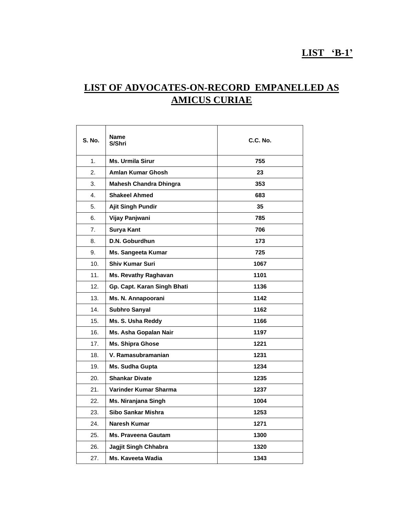### **LIST 'B-1'**

# **LIST OF ADVOCATES-ON-RECORD EMPANELLED AS AMICUS CURIAE**

| <b>S. No.</b>  | <b>Name</b><br>S/Shri       | <b>C.C. No.</b> |
|----------------|-----------------------------|-----------------|
| 1 <sub>1</sub> | <b>Ms. Urmila Sirur</b>     | 755             |
| 2.             | Amlan Kumar Ghosh           | 23              |
| 3.             | Mahesh Chandra Dhingra      | 353             |
| 4.             | <b>Shakeel Ahmed</b>        | 683             |
| 5.             | Ajit Singh Pundir           | 35              |
| 6.             | Vijay Panjwani              | 785             |
| 7.             | Surya Kant                  | 706             |
| 8.             | D.N. Goburdhun              | 173             |
| 9.             | Ms. Sangeeta Kumar          | 725             |
| 10.            | <b>Shiv Kumar Suri</b>      | 1067            |
| 11.            | Ms. Revathy Raghavan        | 1101            |
| 12.            | Gp. Capt. Karan Singh Bhati | 1136            |
| 13.            | Ms. N. Annapoorani          | 1142            |
| 14.            | Subhro Sanyal               | 1162            |
| 15.            | Ms. S. Usha Reddy           | 1166            |
| 16.            | Ms. Asha Gopalan Nair       | 1197            |
| 17.            | <b>Ms. Shipra Ghose</b>     | 1221            |
| 18.            | V. Ramasubramanian          | 1231            |
| 19.            | <b>Ms. Sudha Gupta</b>      | 1234            |
| 20.            | <b>Shankar Divate</b>       | 1235            |
| 21.            | Varinder Kumar Sharma       | 1237            |
| 22.            | Ms. Niranjana Singh         | 1004            |
| 23.            | Sibo Sankar Mishra          | 1253            |
| 24.            | <b>Naresh Kumar</b>         | 1271            |
| 25.            | <b>Ms. Praveena Gautam</b>  | 1300            |
| 26.            | Jagjit Singh Chhabra        | 1320            |
| 27.            | Ms. Kaveeta Wadia           | 1343            |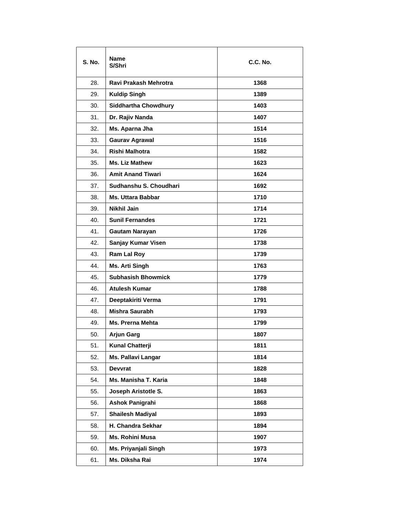| <b>S. No.</b> | <b>Name</b><br>S/Shri       | <b>C.C. No.</b> |
|---------------|-----------------------------|-----------------|
| 28.           | Ravi Prakash Mehrotra       | 1368            |
| 29.           | <b>Kuldip Singh</b>         | 1389            |
| 30.           | <b>Siddhartha Chowdhury</b> | 1403            |
| 31.           | Dr. Rajiv Nanda             | 1407            |
| 32.           | Ms. Aparna Jha              | 1514            |
| 33.           | <b>Gaurav Agrawal</b>       | 1516            |
| 34.           | Rishi Malhotra              | 1582            |
| 35.           | <b>Ms. Liz Mathew</b>       | 1623            |
| 36.           | <b>Amit Anand Tiwari</b>    | 1624            |
| 37.           | Sudhanshu S. Choudhari      | 1692            |
| 38.           | <b>Ms. Uttara Babbar</b>    | 1710            |
| 39.           | Nikhil Jain                 | 1714            |
| 40.           | <b>Sunil Fernandes</b>      | 1721            |
| 41.           | Gautam Narayan              | 1726            |
| 42.           | Sanjay Kumar Visen          | 1738            |
| 43.           | Ram Lal Roy                 | 1739            |
| 44.           | Ms. Arti Singh              | 1763            |
| 45.           | <b>Subhasish Bhowmick</b>   | 1779            |
| 46.           | <b>Atulesh Kumar</b>        | 1788            |
| 47.           | Deeptakiriti Verma          | 1791            |
| 48.           | <b>Mishra Saurabh</b>       | 1793            |
| 49.           | Ms. Prerna Mehta            | 1799            |
| 50.           | <b>Arjun Garg</b>           | 1807            |
| 51.           | Kunal Chatterji             | 1811            |
| 52.           | Ms. Pallavi Langar          | 1814            |
| 53.           | <b>Devvrat</b>              | 1828            |
| 54.           | Ms. Manisha T. Karia        | 1848            |
| 55.           | Joseph Aristotle S.         | 1863            |
| 56.           | <b>Ashok Panigrahi</b>      | 1868            |
| 57.           | <b>Shailesh Madiyal</b>     | 1893            |
| 58.           | H. Chandra Sekhar           | 1894            |
| 59.           | Ms. Rohini Musa             | 1907            |
| 60.           | Ms. Priyanjali Singh        | 1973            |
| 61.           | Ms. Diksha Rai              | 1974            |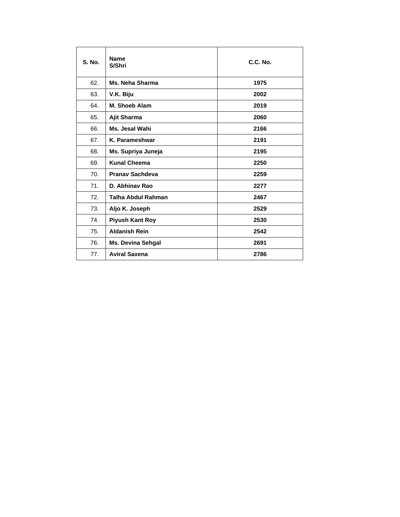| <b>S. No.</b> | <b>Name</b><br>S/Shri  | C.C. No. |
|---------------|------------------------|----------|
| 62.           | Ms. Neha Sharma        | 1975     |
| 63.           | V.K. Biju              | 2002     |
| 64.           | M. Shoeb Alam          | 2019     |
| 65.           | Ajit Sharma            | 2060     |
| 66.           | Ms. Jesal Wahi         | 2166     |
| 67.           | K. Parameshwar         | 2191     |
| 68.           | Ms. Supriya Juneja     | 2195     |
| 69.           | <b>Kunal Cheema</b>    | 2250     |
| 70.           | <b>Pranav Sachdeva</b> | 2259     |
| 71.           | D. Abhinay Rao         | 2277     |
| 72.           | Talha Abdul Rahman     | 2467     |
| 73.           | Aljo K. Joseph         | 2529     |
| 74.           | <b>Piyush Kant Roy</b> | 2530     |
| 75.           | <b>Aldanish Rein</b>   | 2542     |
| 76.           | Ms. Devina Sehgal      | 2691     |
| 77.           | <b>Aviral Saxena</b>   | 2786     |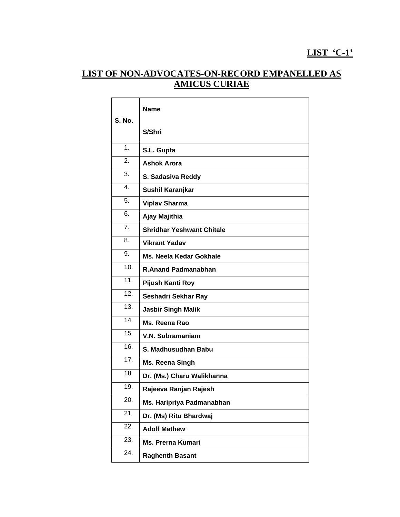# **LIST 'C-1'**

## **LIST OF NON-ADVOCATES-ON-RECORD EMPANELLED AS AMICUS CURIAE**

| S. No.            | <b>Name</b>                      |
|-------------------|----------------------------------|
|                   | S/Shri                           |
| 1 <sub>1</sub>    | S.L. Gupta                       |
| 2.                | <b>Ashok Arora</b>               |
| 3.                | S. Sadasiva Reddy                |
| 4.                | Sushil Karanjkar                 |
| 5.                | <b>Viplav Sharma</b>             |
| 6.                | Ajay Majithia                    |
| 7.                | <b>Shridhar Yeshwant Chitale</b> |
| 8.                | <b>Vikrant Yadav</b>             |
| 9.                | <b>Ms. Neela Kedar Gokhale</b>   |
| 10.               | <b>R.Anand Padmanabhan</b>       |
| $\overline{11}$ . | Pijush Kanti Roy                 |
| 12.               | Seshadri Sekhar Ray              |
| 13.               | <b>Jasbir Singh Malik</b>        |
| $\overline{14}$ . | Ms. Reena Rao                    |
| 15.               | V.N. Subramaniam                 |
| $\overline{16}$ . | S. Madhusudhan Babu              |
| $\overline{17}$ . | Ms. Reena Singh                  |
| 18.               | Dr. (Ms.) Charu Walikhanna       |
| 19.               | Rajeeva Ranjan Rajesh            |
| 20.               | Ms. Haripriya Padmanabhan        |
| 21.               | Dr. (Ms) Ritu Bhardwaj           |
| 22.               | <b>Adolf Mathew</b>              |
| 23.               | <b>Ms. Prerna Kumari</b>         |
| 24.               | <b>Raghenth Basant</b>           |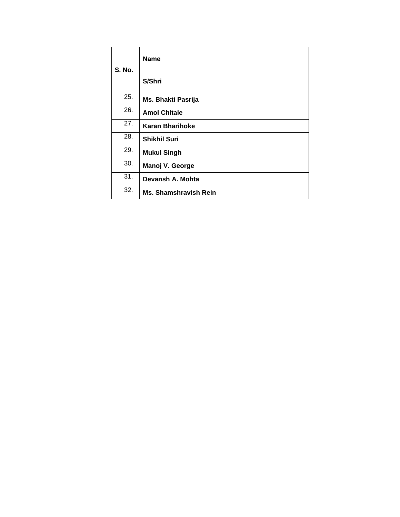| <b>S. No.</b> | <b>Name</b>                  |
|---------------|------------------------------|
|               | S/Shri                       |
| 25.           | Ms. Bhakti Pasrija           |
| 26.           | <b>Amol Chitale</b>          |
| 27.           | <b>Karan Bharihoke</b>       |
| 28.           | <b>Shikhil Suri</b>          |
| 29.           | <b>Mukul Singh</b>           |
| 30.           | Manoj V. George              |
| 31.           | Devansh A. Mohta             |
| 32.           | <b>Ms. Shamshravish Rein</b> |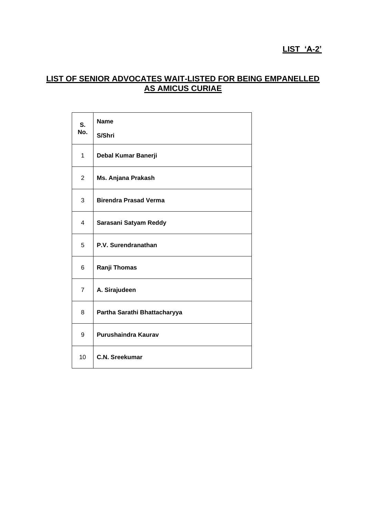### **LIST 'A-2'**

## **LIST OF SENIOR ADVOCATES WAIT-LISTED FOR BEING EMPANELLED AS AMICUS CURIAE**

| S.             | <b>Name</b>                  |
|----------------|------------------------------|
| No.            | S/Shri                       |
| 1              | Debal Kumar Banerji          |
| $\overline{2}$ | Ms. Anjana Prakash           |
| 3              | <b>Birendra Prasad Verma</b> |
| 4              | Sarasani Satyam Reddy        |
| 5              | P.V. Surendranathan          |
| 6              | Ranji Thomas                 |
| $\overline{7}$ | A. Sirajudeen                |
| 8              | Partha Sarathi Bhattacharyya |
| 9              | Purushaindra Kaurav          |
| 10             | <b>C.N. Sreekumar</b>        |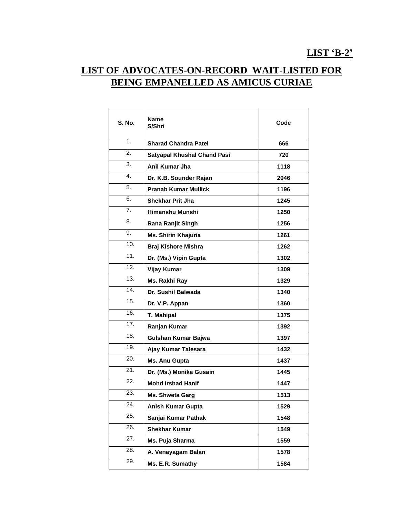# **LIST OF ADVOCATES-ON-RECORD WAIT-LISTED FOR BEING EMPANELLED AS AMICUS CURIAE**

| <b>S. No.</b> | <b>Name</b><br>S/Shri              | Code |
|---------------|------------------------------------|------|
| $\mathbf 1$ . | <b>Sharad Chandra Patel</b>        | 666  |
| 2.            | <b>Satyapal Khushal Chand Pasi</b> | 720  |
| 3.            | Anil Kumar Jha                     | 1118 |
| 4.            | Dr. K.B. Sounder Rajan             | 2046 |
| 5.            | <b>Pranab Kumar Mullick</b>        | 1196 |
| 6.            | <b>Shekhar Prit Jha</b>            | 1245 |
| 7.            | Himanshu Munshi                    | 1250 |
| 8.            | Rana Ranjit Singh                  | 1256 |
| 9.            | Ms. Shirin Khajuria                | 1261 |
| 10.           | <b>Braj Kishore Mishra</b>         | 1262 |
| 11.           | Dr. (Ms.) Vipin Gupta              | 1302 |
| 12.           | <b>Vijay Kumar</b>                 | 1309 |
| 13.           | Ms. Rakhi Ray                      | 1329 |
| 14.           | Dr. Sushil Balwada                 | 1340 |
| 15.           | Dr. V.P. Appan                     | 1360 |
| 16.           | T. Mahipal                         | 1375 |
| 17.           | Ranjan Kumar                       | 1392 |
| 18.           | Gulshan Kumar Bajwa                | 1397 |
| 19.           | Ajay Kumar Talesara                | 1432 |
| 20.           | Ms. Anu Gupta                      | 1437 |
| 21.           | Dr. (Ms.) Monika Gusain            | 1445 |
| 22.           | <b>Mohd Irshad Hanif</b>           | 1447 |
| 23.           | Ms. Shweta Garg                    | 1513 |
| 24.           | Anish Kumar Gupta                  | 1529 |
| 25.           | Sanjai Kumar Pathak                | 1548 |
| 26.           | <b>Shekhar Kumar</b>               | 1549 |
| 27.           | Ms. Puja Sharma                    | 1559 |
| 28.           | A. Venayagam Balan                 | 1578 |
| 29.           | Ms. E.R. Sumathy                   | 1584 |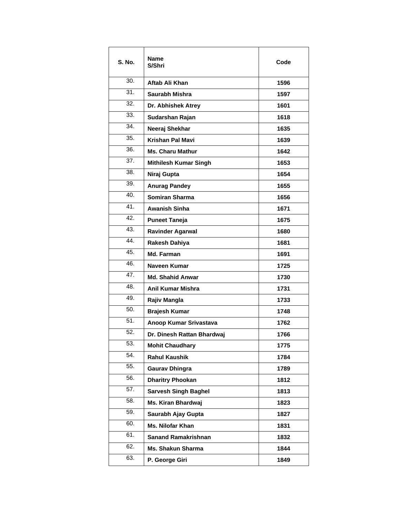| S. No.          | <b>Name</b><br>S/Shri        | Code |
|-----------------|------------------------------|------|
| 30.             | Aftab Ali Khan               | 1596 |
| 31.             | Saurabh Mishra               | 1597 |
| 32.             | Dr. Abhishek Atrey           | 1601 |
| 33.             | Sudarshan Rajan              | 1618 |
| 34.             | Neeraj Shekhar               | 1635 |
| 35.             | Krishan Pal Mavi             | 1639 |
| 36.             | <b>Ms. Charu Mathur</b>      | 1642 |
| 37.             | <b>Mithilesh Kumar Singh</b> | 1653 |
| 38.             | Niraj Gupta                  | 1654 |
| 39.             | <b>Anurag Pandey</b>         | 1655 |
| 40.             | <b>Somiran Sharma</b>        | 1656 |
| $\overline{41}$ | <b>Awanish Sinha</b>         | 1671 |
| 42.             | <b>Puneet Taneja</b>         | 1675 |
| 43.             | <b>Ravinder Agarwal</b>      | 1680 |
| 44.             | Rakesh Dahiya                | 1681 |
| 45.             | Md. Farman                   | 1691 |
| 46.             | Naveen Kumar                 | 1725 |
| 47.             | <b>Md. Shahid Anwar</b>      | 1730 |
| 48.             | Anil Kumar Mishra            | 1731 |
| 49.             | Rajiv Mangla                 | 1733 |
| 50.             | <b>Brajesh Kumar</b>         | 1748 |
| 51.             | Anoop Kumar Srivastava       | 1762 |
| 52.             | Dr. Dinesh Rattan Bhardwaj   | 1766 |
| 53.             | <b>Mohit Chaudhary</b>       | 1775 |
| 54.             | <b>Rahul Kaushik</b>         | 1784 |
| 55.             | <b>Gaurav Dhingra</b>        | 1789 |
| 56.             | <b>Dharitry Phookan</b>      | 1812 |
| 57.             | <b>Sarvesh Singh Baghel</b>  | 1813 |
| 58.             | Ms. Kiran Bhardwaj           | 1823 |
| 59.             | Saurabh Ajay Gupta           | 1827 |
| 60.             | Ms. Nilofar Khan             | 1831 |
| 61.             | <b>Sanand Ramakrishnan</b>   | 1832 |
| 62.             | <b>Ms. Shakun Sharma</b>     | 1844 |
| 63.             | P. George Giri               | 1849 |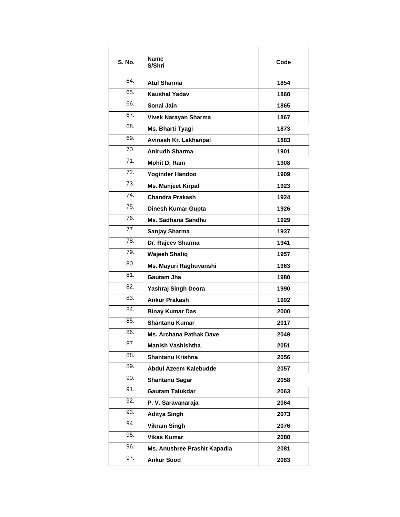| S. No. | Name<br>S/Shri                 | Code |
|--------|--------------------------------|------|
| 64.    | <b>Atul Sharma</b>             | 1854 |
| 65.    | <b>Kaushal Yadav</b>           | 1860 |
| 66.    | Sonal Jain                     | 1865 |
| 67.    | Vivek Narayan Sharma           | 1867 |
| 68.    | Ms. Bharti Tyagi               | 1873 |
| 69.    | Avinash Kr. Lakhanpal          | 1883 |
| 70.    | <b>Anirudh Sharma</b>          | 1901 |
| 71.    | Mohit D. Ram                   | 1908 |
| 72.    | <b>Yoginder Handoo</b>         | 1909 |
| 73.    | <b>Ms. Manjeet Kirpal</b>      | 1923 |
| 74.    | <b>Chandra Prakash</b>         | 1924 |
| 75.    | Dinesh Kumar Gupta             | 1926 |
| 76.    | <b>Ms. Sadhana Sandhu</b>      | 1929 |
| 77.    | Sanjay Sharma                  | 1937 |
| 78.    | Dr. Rajeev Sharma              | 1941 |
| 79.    | <b>Wajeeh Shafiq</b>           | 1957 |
| 80.    | Ms. Mayuri Raghuvanshi         | 1963 |
| 81.    | Gautam Jha                     | 1980 |
| 82.    | Yashraj Singh Deora            | 1990 |
| 83.    | <b>Ankur Prakash</b>           | 1992 |
| 84.    | <b>Binay Kumar Das</b>         | 2000 |
| 85.    | <b>Shantanu Kumar</b>          | 2017 |
| 86.    | <b>Ms. Archana Pathak Dave</b> | 2049 |
| 87.    | <b>Manish Vashishtha</b>       | 2051 |
| 88.    | <b>Shantanu Krishna</b>        | 2056 |
| 89.    | Abdul Azeem Kalebudde          | 2057 |
| 90.    | <b>Shantanu Sagar</b>          | 2058 |
| 91.    | <b>Gautam Talukdar</b>         | 2063 |
| 92.    | P. V. Saravanaraja             | 2064 |
| 93.    | <b>Aditya Singh</b>            | 2073 |
| 94.    | <b>Vikram Singh</b>            | 2076 |
| 95.    | <b>Vikas Kumar</b>             | 2080 |
| 96.    | Ms. Anushree Prashit Kapadia   | 2081 |
| 97.    | <b>Ankur Sood</b>              | 2083 |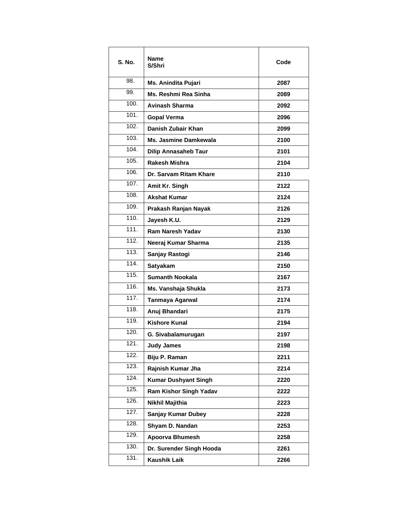| S. No. | Name<br>S/Shri                | Code |
|--------|-------------------------------|------|
| 98.    | Ms. Anindita Pujari           | 2087 |
| 99.    | Ms. Reshmi Rea Sinha          | 2089 |
| 100.   | <b>Avinash Sharma</b>         | 2092 |
| 101.   | <b>Gopal Verma</b>            | 2096 |
| 102.   | Danish Zubair Khan            | 2099 |
| 103.   | Ms. Jasmine Damkewala         | 2100 |
| 104.   | <b>Dilip Annasaheb Taur</b>   | 2101 |
| 105.   | Rakesh Mishra                 | 2104 |
| 106.   | Dr. Sarvam Ritam Khare        | 2110 |
| 107.   | Amit Kr. Singh                | 2122 |
| 108.   | <b>Akshat Kumar</b>           | 2124 |
| 109.   | Prakash Ranjan Nayak          | 2126 |
| 110.   | Jayesh K.U.                   | 2129 |
| 111.   | <b>Ram Naresh Yadav</b>       | 2130 |
| 112.   | Neeraj Kumar Sharma           | 2135 |
| 113.   | Sanjay Rastogi                | 2146 |
| 114.   | <b>Satyakam</b>               | 2150 |
| 115.   | <b>Sumanth Nookala</b>        | 2167 |
| 116.   | Ms. Vanshaja Shukla           | 2173 |
| 117.   | Tanmaya Agarwal               | 2174 |
| 118.   | Anuj Bhandari                 | 2175 |
| 119.   | <b>Kishore Kunal</b>          | 2194 |
| 120.   | G. Sivabalamurugan            | 2197 |
| 121.   | <b>Judy James</b>             | 2198 |
| 122.   | Biju P. Raman                 | 2211 |
| 123.   | Rajnish Kumar Jha             | 2214 |
| 124.   | <b>Kumar Dushyant Singh</b>   | 2220 |
| 125.   | <b>Ram Kishor Singh Yadav</b> | 2222 |
| 126.   | Nikhil Majithia               | 2223 |
| 127.   | <b>Sanjay Kumar Dubey</b>     | 2228 |
| 128.   | Shyam D. Nandan               | 2253 |
| 129.   | Apoorva Bhumesh               | 2258 |
| 130.   | Dr. Surender Singh Hooda      | 2261 |
| 131.   | <b>Kaushik Laik</b>           | 2266 |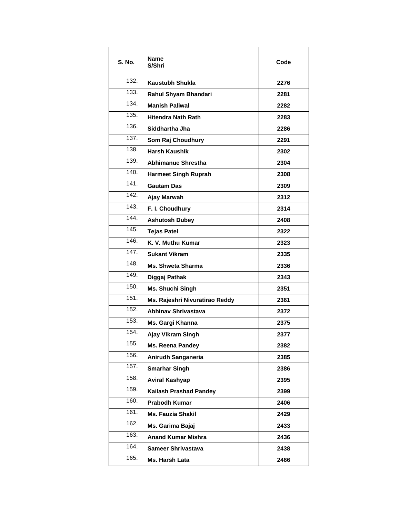| S. No.             | <b>Name</b><br>S/Shri          | Code |
|--------------------|--------------------------------|------|
| 132.               | <b>Kaustubh Shukla</b>         | 2276 |
| 133.               | Rahul Shyam Bhandari           | 2281 |
| $\overline{1}34.$  | <b>Manish Paliwal</b>          | 2282 |
| 135.               | <b>Hitendra Nath Rath</b>      | 2283 |
| 136.               | Siddhartha Jha                 | 2286 |
| 137.               | Som Raj Choudhury              | 2291 |
| 138.               | <b>Harsh Kaushik</b>           | 2302 |
| 139.               | Abhimanue Shrestha             | 2304 |
| 140.               | <b>Harmeet Singh Ruprah</b>    | 2308 |
| 141.               | <b>Gautam Das</b>              | 2309 |
| 142.               | Ajay Marwah                    | 2312 |
| 143.               | F. I. Choudhury                | 2314 |
| 144                | <b>Ashutosh Dubey</b>          | 2408 |
| 145.               | <b>Tejas Patel</b>             | 2322 |
| 146.               | K. V. Muthu Kumar              | 2323 |
| $\overline{1}$ 47. | <b>Sukant Vikram</b>           | 2335 |
| 148.               | <b>Ms. Shweta Sharma</b>       | 2336 |
| 149.               | Diggaj Pathak                  | 2343 |
| 150.               | Ms. Shuchi Singh               | 2351 |
| 151.               | Ms. Rajeshri Nivuratirao Reddy | 2361 |
| 152.               | <b>Abhinav Shrivastava</b>     | 2372 |
| 153.               | Ms. Gargi Khanna               | 2375 |
| 154.               | Ajay Vikram Singh              | 2377 |
| 155.               | <b>Ms. Reena Pandey</b>        | 2382 |
| 156.               | Anirudh Sanganeria             | 2385 |
| 157.               | <b>Smarhar Singh</b>           | 2386 |
| 158.               | <b>Aviral Kashyap</b>          | 2395 |
| 159.               | <b>Kailash Prashad Pandey</b>  | 2399 |
| 160.               | Prabodh Kumar                  | 2406 |
| 161.               | <b>Ms. Fauzia Shakil</b>       | 2429 |
| 162.               | Ms. Garima Bajaj               | 2433 |
| 163.               | <b>Anand Kumar Mishra</b>      | 2436 |
| 164.               | <b>Sameer Shrivastava</b>      | 2438 |
| 165.               | Ms. Harsh Lata                 | 2466 |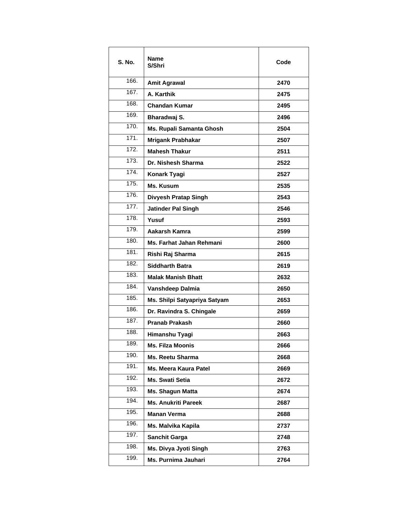| <b>S. No.</b>      | Name<br>S/Shri               | Code |
|--------------------|------------------------------|------|
| 166.               | <b>Amit Agrawal</b>          | 2470 |
| 167.               | A. Karthik                   | 2475 |
| 168.               | <b>Chandan Kumar</b>         | 2495 |
| 169.               | Bharadwaj S.                 | 2496 |
| $\overline{170}$ . | Ms. Rupali Samanta Ghosh     | 2504 |
| 171.               | Mrigank Prabhakar            | 2507 |
| 172.               | <b>Mahesh Thakur</b>         | 2511 |
| 173.               | Dr. Nishesh Sharma           | 2522 |
| 174.               | Konark Tyagi                 | 2527 |
| 175.               | Ms. Kusum                    | 2535 |
| 176.               | Divyesh Pratap Singh         | 2543 |
| 177.               | <b>Jatinder Pal Singh</b>    | 2546 |
| 178.               | Yusuf                        | 2593 |
| 179.               | Aakarsh Kamra                | 2599 |
| 180.               | Ms. Farhat Jahan Rehmani     | 2600 |
| 181.               | Rishi Raj Sharma             | 2615 |
| 182.               | <b>Siddharth Batra</b>       | 2619 |
| 183.               | <b>Malak Manish Bhatt</b>    | 2632 |
| 184.               | Vanshdeep Dalmia             | 2650 |
| 185.               | Ms. Shilpi Satyapriya Satyam | 2653 |
| 186.               | Dr. Ravindra S. Chingale     | 2659 |
| 187.               | <b>Pranab Prakash</b>        | 2660 |
| 188.               | Himanshu Tyagi               | 2663 |
| 189.               | <b>Ms. Filza Moonis</b>      | 2666 |
| 190.               | Ms. Reetu Sharma             | 2668 |
| 191.               | Ms. Meera Kaura Patel        | 2669 |
| 192.               | Ms. Swati Setia              | 2672 |
| 193.               | Ms. Shagun Matta             | 2674 |
| 194.               | <b>Ms. Anukriti Pareek</b>   | 2687 |
| 195.               | <b>Manan Verma</b>           | 2688 |
| 196.               | Ms. Malvika Kapila           | 2737 |
| 197.               | <b>Sanchit Garga</b>         | 2748 |
| 198.               | Ms. Divya Jyoti Singh        | 2763 |
| 199.               | Ms. Purnima Jauhari          | 2764 |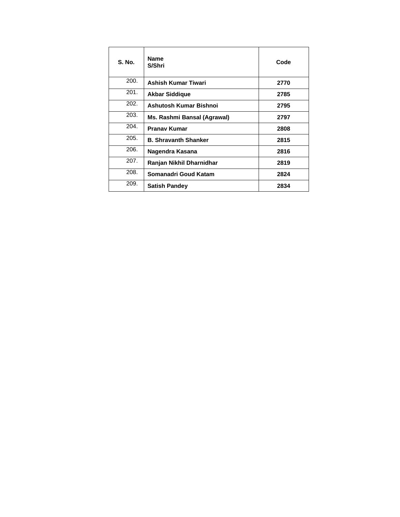| <b>S. No.</b> | <b>Name</b><br>S/Shri       | Code |
|---------------|-----------------------------|------|
| 200.          | Ashish Kumar Tiwari         | 2770 |
| 201.          | <b>Akbar Siddique</b>       | 2785 |
| 202.          | Ashutosh Kumar Bishnoi      | 2795 |
| 203.          | Ms. Rashmi Bansal (Agrawal) | 2797 |
| 204.          | <b>Pranav Kumar</b>         | 2808 |
| 205.          | <b>B. Shravanth Shanker</b> | 2815 |
| 206.          | Nagendra Kasana             | 2816 |
| 207.          | Ranjan Nikhil Dharnidhar    | 2819 |
| 208.          | Somanadri Goud Katam        | 2824 |
| 209.          | <b>Satish Pandey</b>        | 2834 |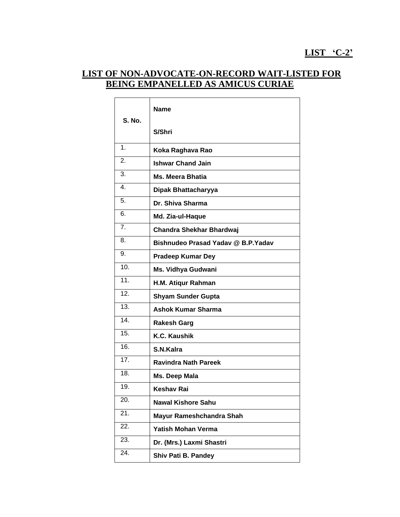### **LIST 'C-2'**

### **LIST OF NON-ADVOCATE-ON-RECORD WAIT-LISTED FOR BEING EMPANELLED AS AMICUS CURIAE**

|                   | Name                               |
|-------------------|------------------------------------|
| S. No.            | S/Shri                             |
| $\overline{1}$ .  | Koka Raghava Rao                   |
| 2.                | <b>Ishwar Chand Jain</b>           |
| 3.                | <b>Ms. Meera Bhatia</b>            |
| $\overline{4}$ .  | Dipak Bhattacharyya                |
| 5.                | Dr. Shiva Sharma                   |
| 6.                | Md. Zia-ul-Haque                   |
| 7.                | Chandra Shekhar Bhardwaj           |
| 8.                | Bishnudeo Prasad Yaday @ B.P.Yaday |
| 9.                | <b>Pradeep Kumar Dey</b>           |
| 10.               | Ms. Vidhya Gudwani                 |
| 11.               | H.M. Atiqur Rahman                 |
| $\overline{12}$ . | <b>Shyam Sunder Gupta</b>          |
| 13.               | <b>Ashok Kumar Sharma</b>          |
| 14.               | <b>Rakesh Garg</b>                 |
| $\overline{15}$ . | K.C. Kaushik                       |
| 16.               | S.N.Kalra                          |
| 17.               | <b>Ravindra Nath Pareek</b>        |
| 18.               | Ms. Deep Mala                      |
| 19.               | Keshav Rai                         |
| 20.               | Nawal Kishore Sahu                 |
| 21.               | Mayur Rameshchandra Shah           |
| 22.               | <b>Yatish Mohan Verma</b>          |
| 23.               | Dr. (Mrs.) Laxmi Shastri           |
| 24.               | Shiv Pati B. Pandey                |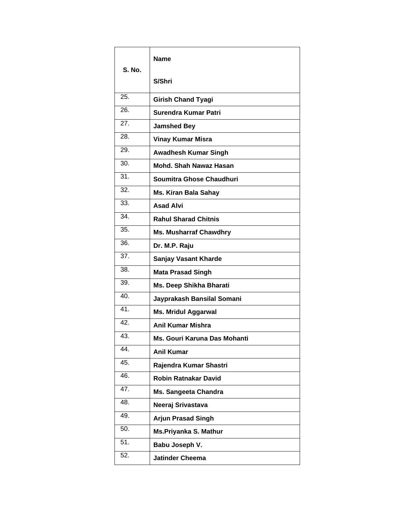| <b>S. No.</b>     | Name                          |
|-------------------|-------------------------------|
|                   | S/Shri                        |
| 25.               | <b>Girish Chand Tyagi</b>     |
| 26.               | Surendra Kumar Patri          |
| 27.               | <b>Jamshed Bey</b>            |
| 28.               | <b>Vinay Kumar Misra</b>      |
| 29.               | <b>Awadhesh Kumar Singh</b>   |
| 30.               | Mohd. Shah Nawaz Hasan        |
| 31.               | Soumitra Ghose Chaudhuri      |
| 32.               | <b>Ms. Kiran Bala Sahay</b>   |
| 33.               | <b>Asad Alvi</b>              |
| 34.               | <b>Rahul Sharad Chitnis</b>   |
| $\overline{35}$ . | <b>Ms. Musharraf Chawdhry</b> |
| 36.               | Dr. M.P. Raju                 |
| 37.               | <b>Sanjay Vasant Kharde</b>   |
| 38.               | <b>Mata Prasad Singh</b>      |
| 39.               | Ms. Deep Shikha Bharati       |
| 40.               | Jayprakash Bansilal Somani    |
| 41.               | <b>Ms. Mridul Aggarwal</b>    |
| 42.               | <b>Anil Kumar Mishra</b>      |
| 43.               | Ms. Gouri Karuna Das Mohanti. |
| 44.               | <b>Anil Kumar</b>             |
| 45.               | Rajendra Kumar Shastri        |
| 46.               | <b>Robin Ratnakar David</b>   |
| 47.               | Ms. Sangeeta Chandra          |
| 48.               | Neeraj Srivastava             |
| 49.               | <b>Arjun Prasad Singh</b>     |
| 50.               | Ms.Priyanka S. Mathur         |
| $\overline{51}$   | Babu Joseph V.                |
| 52.               | <b>Jatinder Cheema</b>        |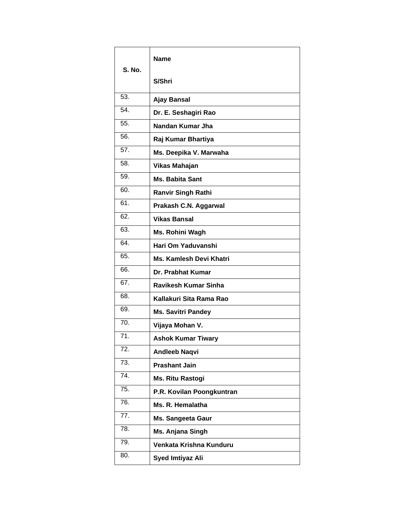| S. No.            | Name                        |
|-------------------|-----------------------------|
|                   | S/Shri                      |
| 53.               | <b>Ajay Bansal</b>          |
| 54.               | Dr. E. Seshagiri Rao        |
| 55.               | Nandan Kumar Jha            |
| 56.               | Raj Kumar Bhartiya          |
| $\overline{57}$ . | Ms. Deepika V. Marwaha      |
| 58.               | Vikas Mahajan               |
| 59.               | <b>Ms. Babita Sant</b>      |
| 60.               | <b>Ranvir Singh Rathi</b>   |
| 61.               | Prakash C.N. Aggarwal       |
| 62.               | <b>Vikas Bansal</b>         |
| 63.               | Ms. Rohini Wagh             |
| 64.               | Hari Om Yaduvanshi          |
| 65.               | Ms. Kamlesh Devi Khatri     |
| 66.               | Dr. Prabhat Kumar           |
| 67.               | <b>Ravikesh Kumar Sinha</b> |
| 68.               | Kallakuri Sita Rama Rao     |
| 69.               | <b>Ms. Savitri Pandey</b>   |
| 70.               | Vijaya Mohan V.             |
| 71.               | <b>Ashok Kumar Tiwary</b>   |
| 72.               | <b>Andleeb Naqvi</b>        |
| 73.               | <b>Prashant Jain</b>        |
| 74.               | Ms. Ritu Rastogi            |
| 75.               | P.R. Kovilan Poongkuntran   |
| 76.               | Ms. R. Hemalatha            |
| 77.               | <b>Ms. Sangeeta Gaur</b>    |
| 78.               | Ms. Anjana Singh            |
| 79.               | Venkata Krishna Kunduru     |
| 80.               | Syed Imtiyaz Ali            |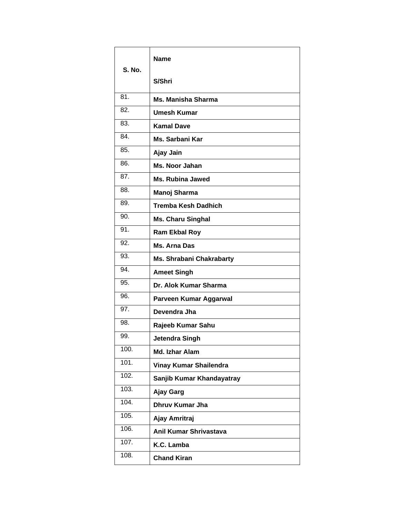| <b>S. No.</b> | <b>Name</b>                |
|---------------|----------------------------|
|               | S/Shri                     |
| 81.           | <b>Ms. Manisha Sharma</b>  |
| 82.           | <b>Umesh Kumar</b>         |
| 83.           | <b>Kamal Dave</b>          |
| 84.           | Ms. Sarbani Kar            |
| 85.           | Ajay Jain                  |
| 86.           | Ms. Noor Jahan             |
| 87.           | <b>Ms. Rubina Jawed</b>    |
| 88.           | Manoj Sharma               |
| 89.           | <b>Tremba Kesh Dadhich</b> |
| 90.           | <b>Ms. Charu Singhal</b>   |
| 91.           | <b>Ram Ekbal Roy</b>       |
| 92.           | Ms. Arna Das               |
| 93.           | Ms. Shrabani Chakrabarty   |
| 94.           | <b>Ameet Singh</b>         |
| 95.           | Dr. Alok Kumar Sharma      |
| 96.           | Parveen Kumar Aggarwal     |
| 97.           | Devendra Jha               |
| 98.           | Rajeeb Kumar Sahu          |
| 99.           | Jetendra Singh             |
| 100.          | Md. Izhar Alam             |
| 101.          | Vinay Kumar Shailendra     |
| 102.          | Sanjib Kumar Khandayatray  |
| 103.          | Ajay Garg                  |
| 104.          | <b>Dhruv Kumar Jha</b>     |
| 105.          | Ajay Amritraj              |
| 106.          | Anil Kumar Shrivastava     |
| 107.          | K.C. Lamba                 |
| 108.          | <b>Chand Kiran</b>         |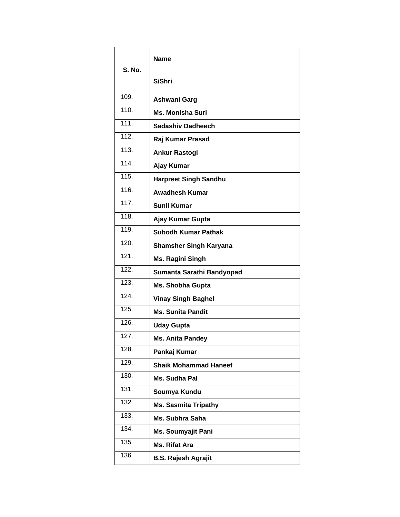| <b>S. No.</b>      | <b>Name</b>                   |
|--------------------|-------------------------------|
|                    | S/Shri                        |
| 109.               | Ashwani Garg                  |
| 110.               | <b>Ms. Monisha Suri</b>       |
| 111.               | <b>Sadashiv Dadheech</b>      |
| 112.               | Raj Kumar Prasad              |
| 113.               | <b>Ankur Rastogi</b>          |
| 114.               | Ajay Kumar                    |
| 115.               | <b>Harpreet Singh Sandhu</b>  |
| 116.               | <b>Awadhesh Kumar</b>         |
| 117.               | <b>Sunil Kumar</b>            |
| $\overline{118}$ . | Ajay Kumar Gupta              |
| 119.               | <b>Subodh Kumar Pathak</b>    |
| 120.               | <b>Shamsher Singh Karyana</b> |
| 121.               | <b>Ms. Ragini Singh</b>       |
| 122.               | Sumanta Sarathi Bandyopad     |
| $\overline{123}$ . | Ms. Shobha Gupta              |
| 124.               | <b>Vinay Singh Baghel</b>     |
| 125.               | <b>Ms. Sunita Pandit</b>      |
| 126.               | <b>Uday Gupta</b>             |
| $\overline{127}$ . | Ms. Anita Pandey              |
| 128.               | Pankaj Kumar                  |
| 129.               | <b>Shaik Mohammad Haneef</b>  |
| 130.               | Ms. Sudha Pal                 |
| 131.               | Soumya Kundu                  |
| 132.               | <b>Ms. Sasmita Tripathy</b>   |
| 133.               | Ms. Subhra Saha               |
| 134.               | <b>Ms. Soumyajit Pani</b>     |
| 135.               | <b>Ms. Rifat Ara</b>          |
| 136.               | <b>B.S. Rajesh Agrajit</b>    |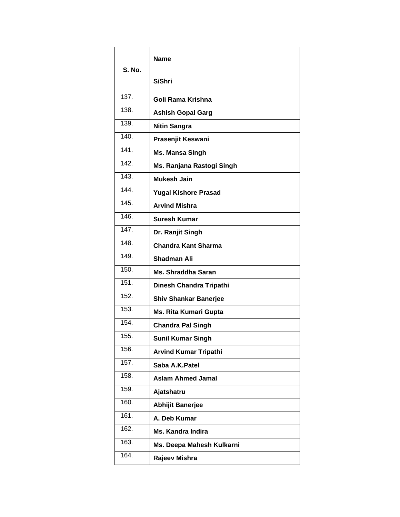| <b>S. No.</b>      | <b>Name</b>                  |
|--------------------|------------------------------|
|                    | S/Shri                       |
| 137.               | Goli Rama Krishna            |
| $\overline{138}$ . | <b>Ashish Gopal Garg</b>     |
| 139.               | <b>Nitin Sangra</b>          |
| 140.               | Prasenjit Keswani            |
| 141.               | Ms. Mansa Singh              |
| 142.               | Ms. Ranjana Rastogi Singh    |
| 143.               | <b>Mukesh Jain</b>           |
| 144.               | <b>Yugal Kishore Prasad</b>  |
| $\overline{145}$ . | <b>Arvind Mishra</b>         |
| 146.               | <b>Suresh Kumar</b>          |
| $\overline{147}$ . | Dr. Ranjit Singh             |
| 148.               | <b>Chandra Kant Sharma</b>   |
| 149.               | <b>Shadman Ali</b>           |
| 150.               | <b>Ms. Shraddha Saran</b>    |
| 151.               | Dinesh Chandra Tripathi      |
| 152.               | <b>Shiv Shankar Banerjee</b> |
| 153.               | Ms. Rita Kumari Gupta        |
| 154.               | <b>Chandra Pal Singh</b>     |
| 155.               | <b>Sunil Kumar Singh</b>     |
| 156.               | <b>Arvind Kumar Tripathi</b> |
| 157.               | Saba A.K.Patel               |
| 158.               | <b>Aslam Ahmed Jamal</b>     |
| 159.               | Ajatshatru                   |
| 160.               | <b>Abhijit Banerjee</b>      |
| 161.               | A. Deb Kumar                 |
| 162.               | <b>Ms. Kandra Indira</b>     |
| 163.               | Ms. Deepa Mahesh Kulkarni    |
| 164.               | Rajeev Mishra                |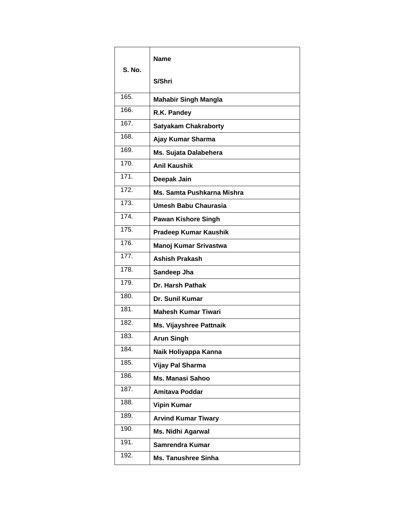| <b>S. No.</b>      | Name                           |
|--------------------|--------------------------------|
|                    | S/Shri                         |
| 165.               | <b>Mahabir Singh Mangla</b>    |
| 166.               | R.K. Pandey                    |
| 167.               | <b>Satyakam Chakraborty</b>    |
| 168.               | Ajay Kumar Sharma              |
| 169.               | Ms. Sujata Dalabehera          |
| 170.               | <b>Anil Kaushik</b>            |
| 171.               | Deepak Jain                    |
| 172.               | Ms. Samta Pushkarna Mishra     |
| 173.               | Umesh Babu Chaurasia           |
| 174.               | <b>Pawan Kishore Singh</b>     |
| 175.               | <b>Pradeep Kumar Kaushik</b>   |
| 176.               | <b>Manoj Kumar Srivastwa</b>   |
| $\overline{177}$ . | <b>Ashish Prakash</b>          |
| 178.               | Sandeep Jha                    |
| 179.               | Dr. Harsh Pathak               |
| 180.               | Dr. Sunil Kumar                |
| 181.               | <b>Mahesh Kumar Tiwari</b>     |
| 182.               | <b>Ms. Vijayshree Pattnaik</b> |
| 183.               | <b>Arun Singh</b>              |
| 184.               | Naik Holiyappa Kanna           |
| 185.               | Vijay Pal Sharma               |
| 186.               | <b>Ms. Manasi Sahoo</b>        |
| 187.               | <b>Amitava Poddar</b>          |
| 188.               | <b>Vipin Kumar</b>             |
| 189.               | <b>Arvind Kumar Tiwary</b>     |
| 190.               | <b>Ms. Nidhi Agarwal</b>       |
| 191.               | Samrendra Kumar                |
| 192.               | <b>Ms. Tanushree Sinha</b>     |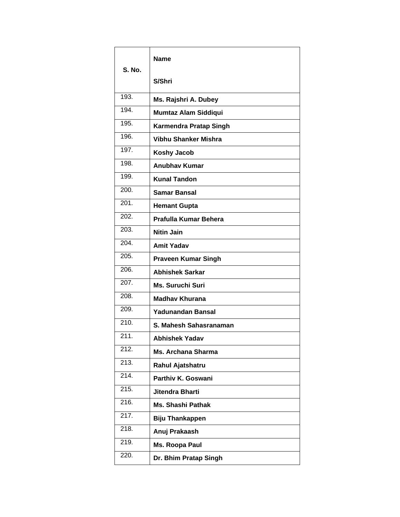| <b>S. No.</b>      | <b>Name</b>                |
|--------------------|----------------------------|
|                    | S/Shri                     |
| 193.               | Ms. Rajshri A. Dubey       |
| 194.               | Mumtaz Alam Siddiqui       |
| 195.               | Karmendra Pratap Singh     |
| 196.               | Vibhu Shanker Mishra       |
| 197.               | <b>Koshy Jacob</b>         |
| 198.               | <b>Anubhav Kumar</b>       |
| 199.               | <b>Kunal Tandon</b>        |
| 200.               | <b>Samar Bansal</b>        |
| 201.               | <b>Hemant Gupta</b>        |
| 202.               | Prafulla Kumar Behera      |
| 203.               | <b>Nitin Jain</b>          |
| 204.               | <b>Amit Yadav</b>          |
| 205.               | <b>Praveen Kumar Singh</b> |
| 206.               | <b>Abhishek Sarkar</b>     |
| 207.               | Ms. Suruchi Suri           |
| 208.               | <b>Madhay Khurana</b>      |
| 209.               | Yadunandan Bansal          |
| 210.               | S. Mahesh Sahasranaman     |
| 211.               | Abhishek Yadav             |
| 212.               | <b>Ms. Archana Sharma</b>  |
| 213.               | Rahul Ajatshatru           |
| $\overline{214}$ . | Parthiv K. Goswani         |
| 215.               | Jitendra Bharti            |
| 216.               | <b>Ms. Shashi Pathak</b>   |
| 217.               | <b>Biju Thankappen</b>     |
| 218.               | Anuj Prakaash              |
| 219.               | Ms. Roopa Paul             |
| 220.               | Dr. Bhim Pratap Singh      |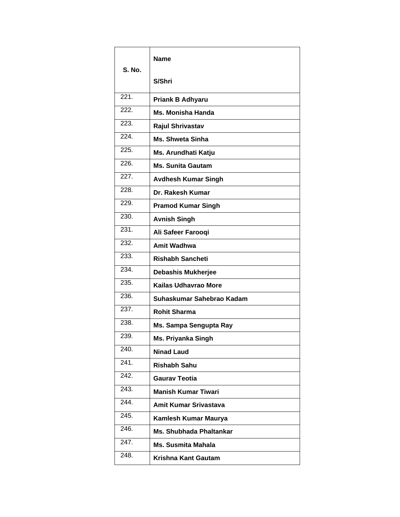| <b>S. No.</b> | Name                           |
|---------------|--------------------------------|
|               | S/Shri                         |
| 221.          | <b>Priank B Adhyaru</b>        |
| 222.          | <b>Ms. Monisha Handa</b>       |
| 223.          | <b>Rajul Shrivastav</b>        |
| 224.          | <b>Ms. Shweta Sinha</b>        |
| 225.          | Ms. Arundhati Katju            |
| 226.          | <b>Ms. Sunita Gautam</b>       |
| 227.          | <b>Avdhesh Kumar Singh</b>     |
| 228.          | Dr. Rakesh Kumar               |
| 229.          | <b>Pramod Kumar Singh</b>      |
| 230.          | <b>Avnish Singh</b>            |
| 231.          | Ali Safeer Farooqi             |
| 232.          | <b>Amit Wadhwa</b>             |
| 233.          | <b>Rishabh Sancheti</b>        |
| 234.          | Debashis Mukherjee             |
| 235.          | Kailas Udhavrao More           |
| 236.          | Suhaskumar Sahebrao Kadam      |
| 237.          | <b>Rohit Sharma</b>            |
| 238.          | Ms. Sampa Sengupta Ray         |
| 239.          | Ms. Priyanka Singh             |
| 240.          | <b>Ninad Laud</b>              |
| 241.          | <b>Rishabh Sahu</b>            |
| 242.          | <b>Gaurav Teotia</b>           |
| 243.          | <b>Manish Kumar Tiwari</b>     |
| 244.          | <b>Amit Kumar Srivastava</b>   |
| 245.          | Kamlesh Kumar Maurya           |
| 246.          | <b>Ms. Shubhada Phaltankar</b> |
| 247.          | <b>Ms. Susmita Mahala</b>      |
| 248.          | <b>Krishna Kant Gautam</b>     |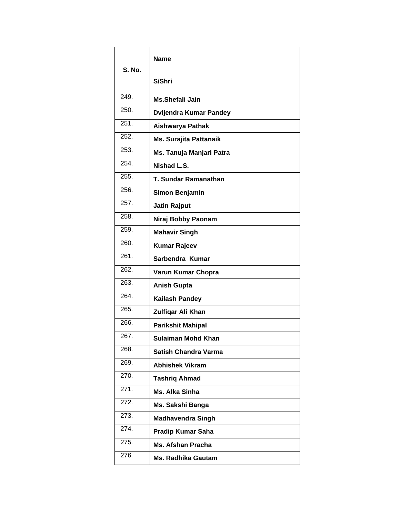| <b>S. No.</b>      | Name                        |
|--------------------|-----------------------------|
|                    | S/Shri                      |
| 249.               | <b>Ms.Shefali Jain</b>      |
| 250.               | Dvijendra Kumar Pandey      |
| 251.               | Aishwarya Pathak            |
| 252.               | Ms. Surajita Pattanaik      |
| 253.               | Ms. Tanuja Manjari Patra    |
| 254.               | Nishad L.S.                 |
| 255.               | T. Sundar Ramanathan        |
| 256.               | Simon Benjamin              |
| 257.               | <b>Jatin Rajput</b>         |
| 258.               | Niraj Bobby Paonam          |
| 259.               | <b>Mahavir Singh</b>        |
| 260.               | <b>Kumar Rajeev</b>         |
| 261.               | Sarbendra Kumar             |
| 262.               | Varun Kumar Chopra          |
| 263.               | <b>Anish Gupta</b>          |
| 264.               | <b>Kailash Pandey</b>       |
| 265.               | Zulfiqar Ali Khan           |
| 266.               | <b>Parikshit Mahipal</b>    |
| 267.               | Sulaiman Mohd Khan          |
| 268.               | <b>Satish Chandra Varma</b> |
| 269.               | <b>Abhishek Vikram</b>      |
| 270.               | <b>Tashrig Ahmad</b>        |
| 271.               | <b>Ms. Alka Sinha</b>       |
| 272.               | Ms. Sakshi Banga            |
| 273.               | <b>Madhavendra Singh</b>    |
| $\overline{274}$ . | <b>Pradip Kumar Saha</b>    |
| 275.               | <b>Ms. Afshan Pracha</b>    |
| 276.               | <b>Ms. Radhika Gautam</b>   |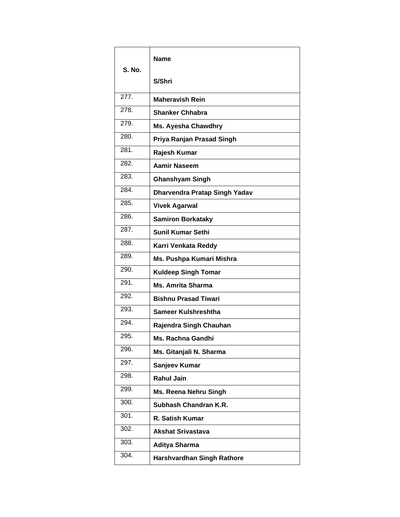| <b>S. No.</b>    | Name                              |
|------------------|-----------------------------------|
|                  | S/Shri                            |
| 277.             | <b>Maheravish Rein</b>            |
| 278.             | <b>Shanker Chhabra</b>            |
| 279.             | Ms. Ayesha Chawdhry               |
| 280.             | Priya Ranjan Prasad Singh         |
| $\overline{281}$ | Rajesh Kumar                      |
| 282.             | <b>Aamir Naseem</b>               |
| 283.             | <b>Ghanshyam Singh</b>            |
| 284.             | Dharvendra Pratap Singh Yadav     |
| 285.             | <b>Vivek Agarwal</b>              |
| 286.             | <b>Samiron Borkataky</b>          |
| 287.             | <b>Sunil Kumar Sethi</b>          |
| 288.             | Karri Venkata Reddy               |
| 289.             | Ms. Pushpa Kumari Mishra          |
| 290.             | <b>Kuldeep Singh Tomar</b>        |
| 291.             | <b>Ms. Amrita Sharma</b>          |
| 292.             | <b>Bishnu Prasad Tiwari</b>       |
| 293.             | Sameer Kulshreshtha               |
| 294.             | Rajendra Singh Chauhan            |
| 295.             | Ms. Rachna Gandhi                 |
| 296.             | Ms. Gitanjali N. Sharma           |
| 297.             | Sanjeev Kumar                     |
| 298.             | <b>Rahul Jain</b>                 |
| 299.             | Ms. Reena Nehru Singh             |
| 300.             | Subhash Chandran K.R.             |
| 301.             | R. Satish Kumar                   |
| 302.             | <b>Akshat Srivastava</b>          |
| 303.             | <b>Aditya Sharma</b>              |
| 304.             | <b>Harshvardhan Singh Rathore</b> |